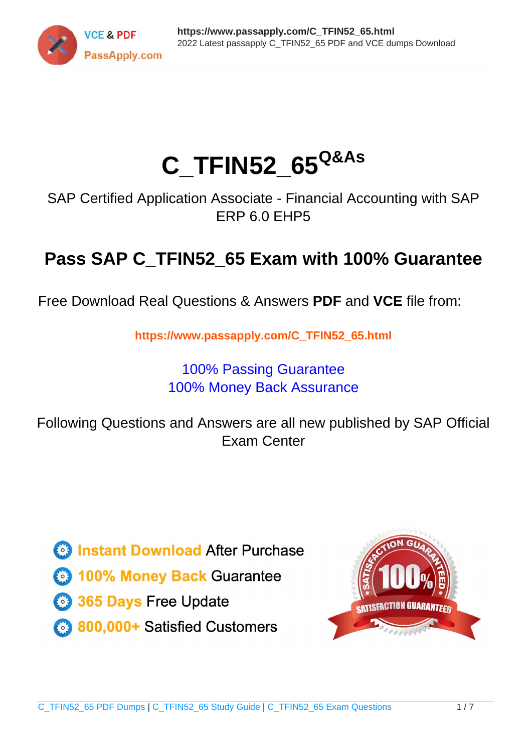

# **C\_TFIN52\_65Q&As**

SAP Certified Application Associate - Financial Accounting with SAP ERP 6.0 EHP5

## **Pass SAP C\_TFIN52\_65 Exam with 100% Guarantee**

Free Download Real Questions & Answers **PDF** and **VCE** file from:

**https://www.passapply.com/C\_TFIN52\_65.html**

### 100% Passing Guarantee 100% Money Back Assurance

Following Questions and Answers are all new published by SAP Official Exam Center

**Colonization** Download After Purchase

- **@ 100% Money Back Guarantee**
- **63 365 Days Free Update**
- 800,000+ Satisfied Customers

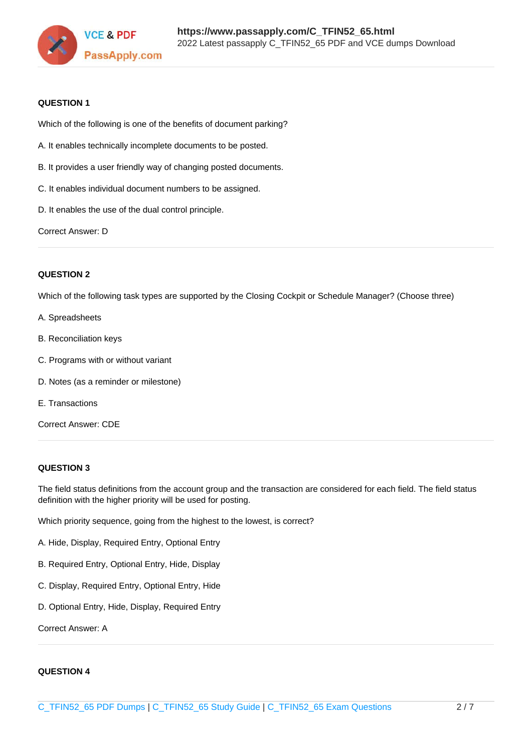

#### **QUESTION 1**

Which of the following is one of the benefits of document parking?

- A. It enables technically incomplete documents to be posted.
- B. It provides a user friendly way of changing posted documents.
- C. It enables individual document numbers to be assigned.
- D. It enables the use of the dual control principle.

Correct Answer: D

#### **QUESTION 2**

Which of the following task types are supported by the Closing Cockpit or Schedule Manager? (Choose three)

- A. Spreadsheets
- B. Reconciliation keys
- C. Programs with or without variant
- D. Notes (as a reminder or milestone)
- E. Transactions
- Correct Answer: CDE

#### **QUESTION 3**

The field status definitions from the account group and the transaction are considered for each field. The field status definition with the higher priority will be used for posting.

Which priority sequence, going from the highest to the lowest, is correct?

- A. Hide, Display, Required Entry, Optional Entry
- B. Required Entry, Optional Entry, Hide, Display
- C. Display, Required Entry, Optional Entry, Hide
- D. Optional Entry, Hide, Display, Required Entry

Correct Answer: A

#### **QUESTION 4**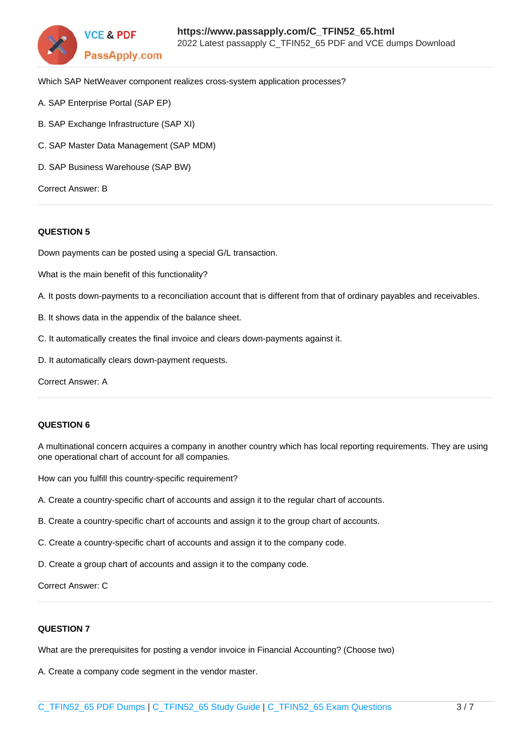

Which SAP NetWeaver component realizes cross-system application processes?

- A. SAP Enterprise Portal (SAP EP)
- B. SAP Exchange Infrastructure (SAP XI)
- C. SAP Master Data Management (SAP MDM)
- D. SAP Business Warehouse (SAP BW)

Correct Answer: B

#### **QUESTION 5**

Down payments can be posted using a special G/L transaction.

What is the main benefit of this functionality?

- A. It posts down-payments to a reconciliation account that is different from that of ordinary payables and receivables.
- B. It shows data in the appendix of the balance sheet.
- C. It automatically creates the final invoice and clears down-payments against it.
- D. It automatically clears down-payment requests.

Correct Answer: A

#### **QUESTION 6**

A multinational concern acquires a company in another country which has local reporting requirements. They are using one operational chart of account for all companies.

How can you fulfill this country-specific requirement?

- A. Create a country-specific chart of accounts and assign it to the regular chart of accounts.
- B. Create a country-specific chart of accounts and assign it to the group chart of accounts.
- C. Create a country-specific chart of accounts and assign it to the company code.
- D. Create a group chart of accounts and assign it to the company code.

Correct Answer: C

#### **QUESTION 7**

What are the prerequisites for posting a vendor invoice in Financial Accounting? (Choose two)

A. Create a company code segment in the vendor master.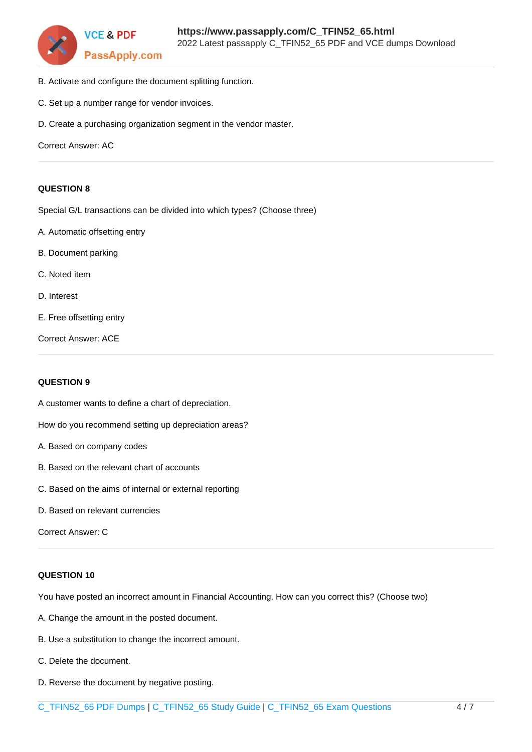

- B. Activate and configure the document splitting function.
- C. Set up a number range for vendor invoices.
- D. Create a purchasing organization segment in the vendor master.

Correct Answer: AC

#### **QUESTION 8**

Special G/L transactions can be divided into which types? (Choose three)

- A. Automatic offsetting entry
- B. Document parking
- C. Noted item
- D. Interest
- E. Free offsetting entry

Correct Answer: ACE

#### **QUESTION 9**

A customer wants to define a chart of depreciation.

How do you recommend setting up depreciation areas?

- A. Based on company codes
- B. Based on the relevant chart of accounts
- C. Based on the aims of internal or external reporting
- D. Based on relevant currencies

Correct Answer: C

#### **QUESTION 10**

You have posted an incorrect amount in Financial Accounting. How can you correct this? (Choose two)

- A. Change the amount in the posted document.
- B. Use a substitution to change the incorrect amount.
- C. Delete the document.
- D. Reverse the document by negative posting.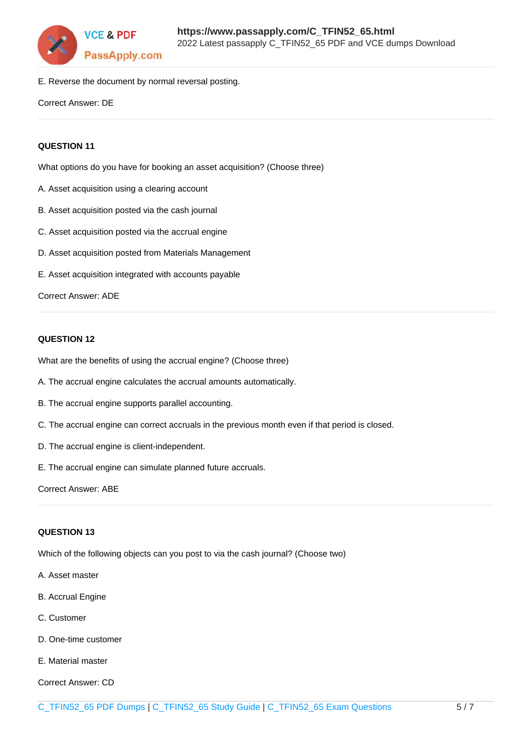

E. Reverse the document by normal reversal posting.

Correct Answer: DE

#### **QUESTION 11**

What options do you have for booking an asset acquisition? (Choose three)

- A. Asset acquisition using a clearing account
- B. Asset acquisition posted via the cash journal
- C. Asset acquisition posted via the accrual engine
- D. Asset acquisition posted from Materials Management
- E. Asset acquisition integrated with accounts payable

Correct Answer: ADE

#### **QUESTION 12**

What are the benefits of using the accrual engine? (Choose three)

- A. The accrual engine calculates the accrual amounts automatically.
- B. The accrual engine supports parallel accounting.
- C. The accrual engine can correct accruals in the previous month even if that period is closed.
- D. The accrual engine is client-independent.
- E. The accrual engine can simulate planned future accruals.

Correct Answer: ABE

#### **QUESTION 13**

Which of the following objects can you post to via the cash journal? (Choose two)

- A. Asset master
- B. Accrual Engine
- C. Customer
- D. One-time customer
- E. Material master
- Correct Answer: CD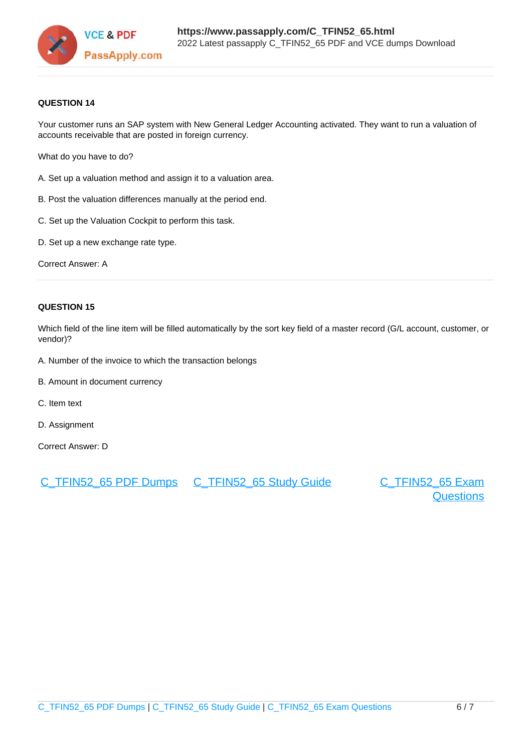

#### **QUESTION 14**

Your customer runs an SAP system with New General Ledger Accounting activated. They want to run a valuation of accounts receivable that are posted in foreign currency.

What do you have to do?

- A. Set up a valuation method and assign it to a valuation area.
- B. Post the valuation differences manually at the period end.
- C. Set up the Valuation Cockpit to perform this task.
- D. Set up a new exchange rate type.

Correct Answer: A

#### **QUESTION 15**

Which field of the line item will be filled automatically by the sort key field of a master record (G/L account, customer, or vendor)?

- A. Number of the invoice to which the transaction belongs
- B. Amount in document currency
- C. Item text
- D. Assignment

Correct Answer: D

[C\\_TFIN52\\_65 PDF Dumps](https://www.passapply.com/C_TFIN52_65.html) [C\\_TFIN52\\_65 Study Guide](https://www.passapply.com/C_TFIN52_65.html) [C\\_TFIN52\\_65 Exam](https://www.passapply.com/C_TFIN52_65.html)

**[Questions](https://www.passapply.com/C_TFIN52_65.html)**